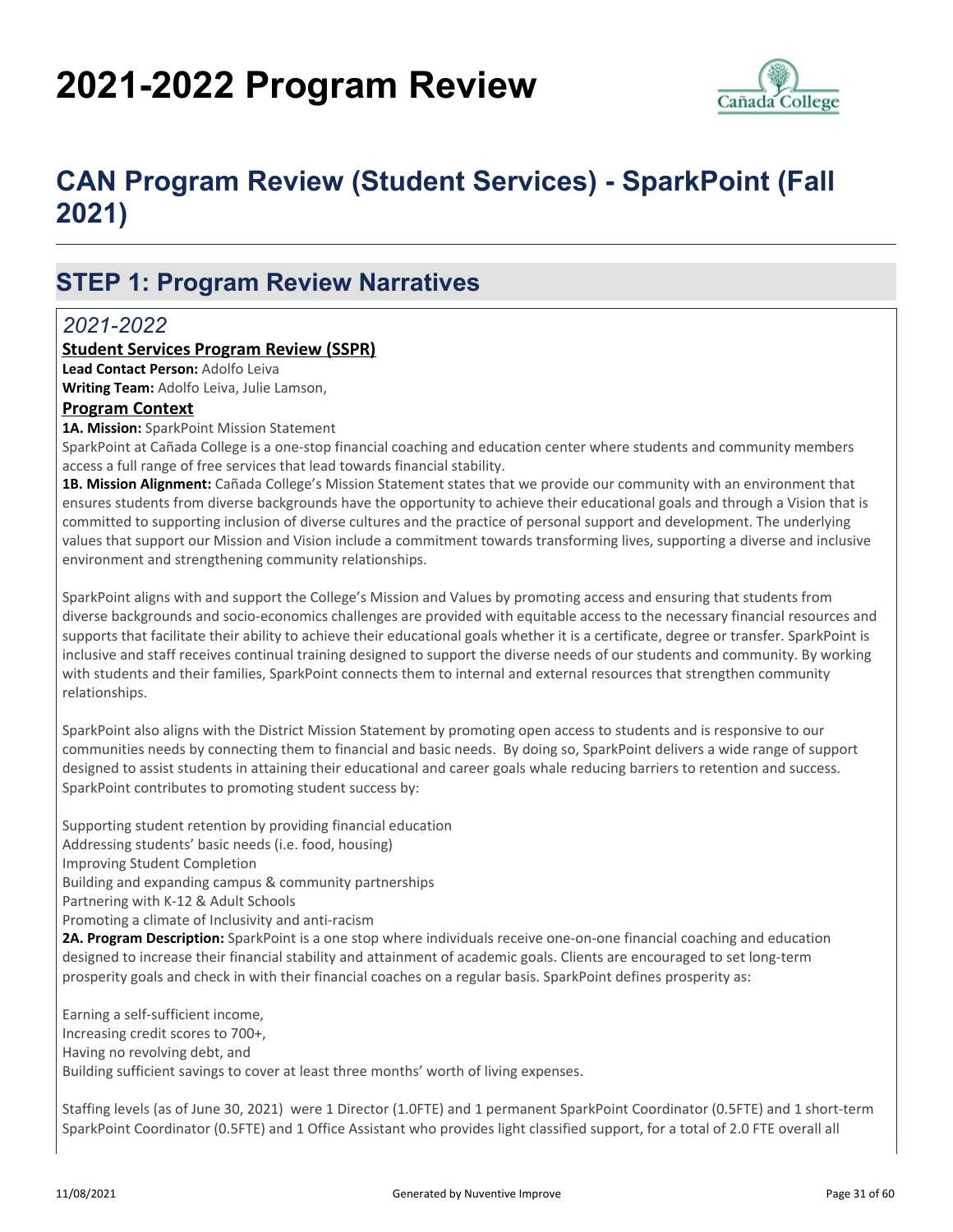# **2021-2022 Program Review**



# **CAN Program Review (Student Services) - SparkPoint (Fall 2021)**

# **STEP 1: Program Review Narratives**

### *2021-2022*

### **Student Services Program Review (SSPR)**

**Lead Contact Person:** Adolfo Leiva

**Writing Team:** Adolfo Leiva, Julie Lamson,

### **Program Context**

**1A. Mission:** SparkPoint Mission Statement

SparkPoint at Cañada College is a one-stop financial coaching and education center where students and community members access a full range of free services that lead towards financial stability.

**1B. Mission Alignment:** Cañada College's Mission Statement states that we provide our community with an environment that ensures students from diverse backgrounds have the opportunity to achieve their educational goals and through a Vision that is committed to supporting inclusion of diverse cultures and the practice of personal support and development. The underlying values that support our Mission and Vision include a commitment towards transforming lives, supporting a diverse and inclusive environment and strengthening community relationships.

SparkPoint aligns with and support the College's Mission and Values by promoting access and ensuring that students from diverse backgrounds and socio-economics challenges are provided with equitable access to the necessary financial resources and supports that facilitate their ability to achieve their educational goals whether it is a certificate, degree or transfer. SparkPoint is inclusive and staff receives continual training designed to support the diverse needs of our students and community. By working with students and their families, SparkPoint connects them to internal and external resources that strengthen community relationships.

SparkPoint also aligns with the District Mission Statement by promoting open access to students and is responsive to our communities needs by connecting them to financial and basic needs. By doing so, SparkPoint delivers a wide range of support designed to assist students in attaining their educational and career goals whale reducing barriers to retention and success. SparkPoint contributes to promoting student success by:

Supporting student retention by providing financial education Addressing students' basic needs (i.e. food, housing) Improving Student Completion Building and expanding campus & community partnerships Partnering with K-12 & Adult Schools Promoting a climate of Inclusivity and anti-racism **2A. Program Description:** SparkPoint is a one stop where individuals receive one-on-one financial coaching and education designed to increase their financial stability and attainment of academic goals. Clients are encouraged to set long-term prosperity goals and check in with their financial coaches on a regular basis. SparkPoint defines prosperity as:

Earning a self-sufficient income, Increasing credit scores to 700+, Having no revolving debt, and Building sufficient savings to cover at least three months' worth of living expenses.

Staffing levels (as of June 30, 2021) were 1 Director (1.0FTE) and 1 permanent SparkPoint Coordinator (0.5FTE) and 1 short-term SparkPoint Coordinator (0.5FTE) and 1 Office Assistant who provides light classified support, for a total of 2.0 FTE overall all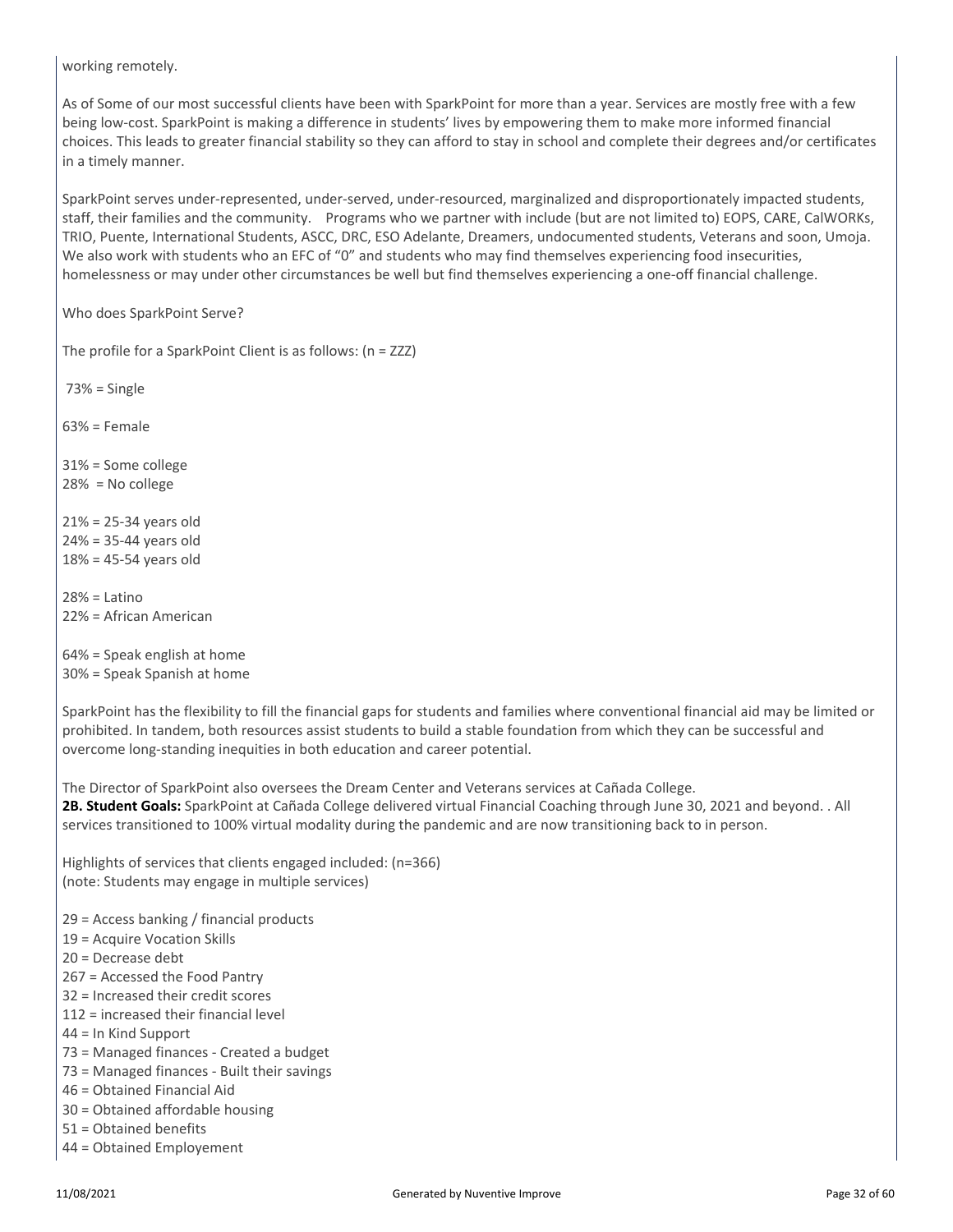working remotely.

As of Some of our most successful clients have been with SparkPoint for more than a year. Services are mostly free with a few being low-cost. SparkPoint is making a difference in students' lives by empowering them to make more informed financial choices. This leads to greater financial stability so they can afford to stay in school and complete their degrees and/or certificates in a timely manner.

SparkPoint serves under-represented, under-served, under-resourced, marginalized and disproportionately impacted students, staff, their families and the community. Programs who we partner with include (but are not limited to) EOPS, CARE, CalWORKs, TRIO, Puente, International Students, ASCC, DRC, ESO Adelante, Dreamers, undocumented students, Veterans and soon, Umoja. We also work with students who an EFC of "0" and students who may find themselves experiencing food insecurities, homelessness or may under other circumstances be well but find themselves experiencing a one-off financial challenge.

Who does SparkPoint Serve?

The profile for a SparkPoint Client is as follows: (n = ZZZ)

73% = Single

63% = Female

31% = Some college 28% = No college

21% = 25-34 years old 24% = 35-44 years old 18% = 45-54 years old

 $28% =$  Latino 22% = African American

64% = Speak english at home 30% = Speak Spanish at home

SparkPoint has the flexibility to fill the financial gaps for students and families where conventional financial aid may be limited or prohibited. In tandem, both resources assist students to build a stable foundation from which they can be successful and overcome long-standing inequities in both education and career potential.

The Director of SparkPoint also oversees the Dream Center and Veterans services at Cañada College. **2B. Student Goals:** SparkPoint at Cañada College delivered virtual Financial Coaching through June 30, 2021 and beyond. . All services transitioned to 100% virtual modality during the pandemic and are now transitioning back to in person.

Highlights of services that clients engaged included: (n=366) (note: Students may engage in multiple services)

29 = Access banking / financial products

19 = Acquire Vocation Skills

20 = Decrease debt

267 = Accessed the Food Pantry

32 = Increased their credit scores

- 112 = increased their financial level
- 44 = In Kind Support
- 73 = Managed finances Created a budget
- 73 = Managed finances Built their savings
- 46 = Obtained Financial Aid
- 30 = Obtained affordable housing
- 51 = Obtained benefits
- 44 = Obtained Employement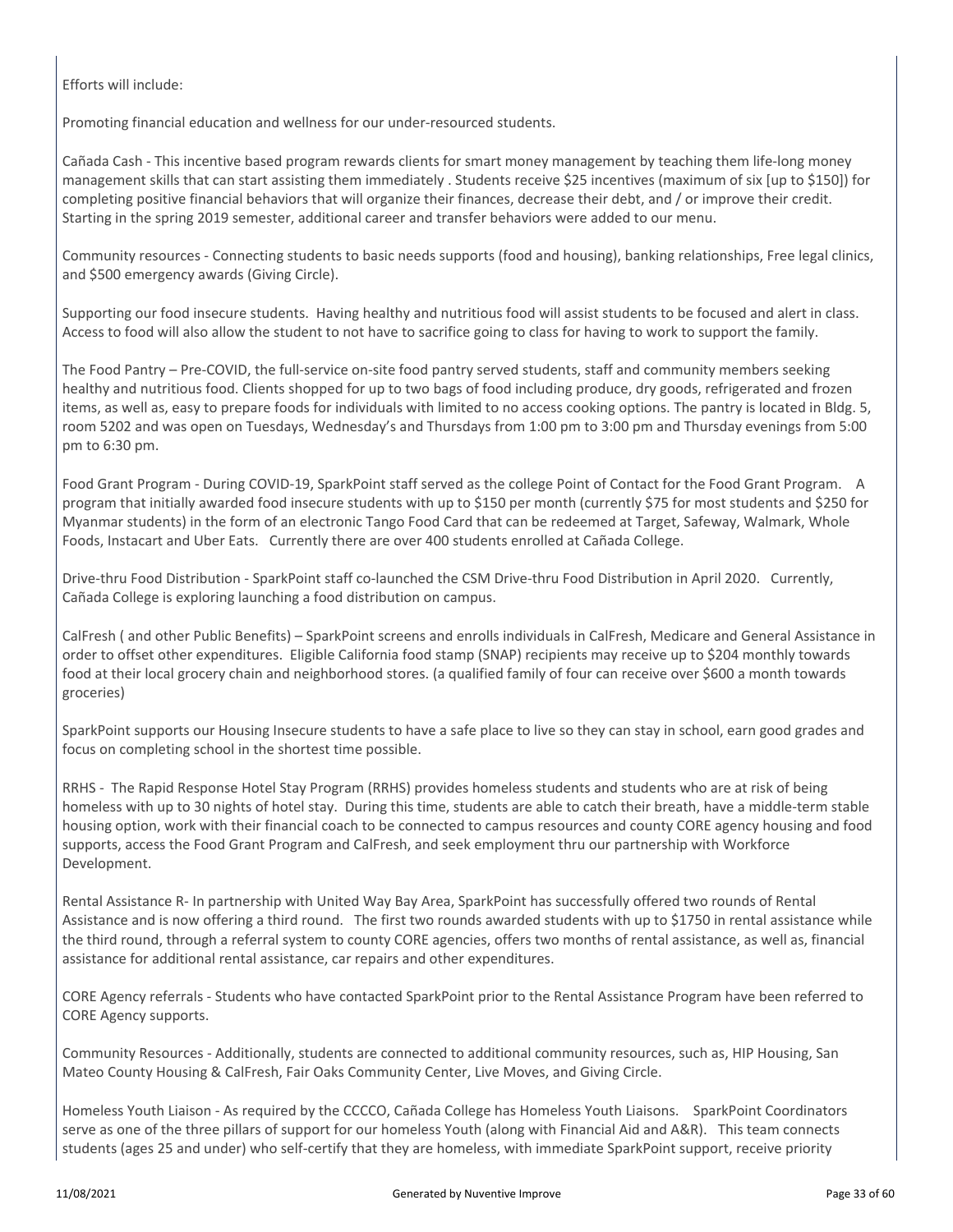Efforts will include:

Promoting financial education and wellness for our under-resourced students.

Cañada Cash - This incentive based program rewards clients for smart money management by teaching them life-long money management skills that can start assisting them immediately . Students receive \$25 incentives (maximum of six [up to \$150]) for completing positive financial behaviors that will organize their finances, decrease their debt, and / or improve their credit. Starting in the spring 2019 semester, additional career and transfer behaviors were added to our menu.

Community resources - Connecting students to basic needs supports (food and housing), banking relationships, Free legal clinics, and \$500 emergency awards (Giving Circle).

Supporting our food insecure students. Having healthy and nutritious food will assist students to be focused and alert in class. Access to food will also allow the student to not have to sacrifice going to class for having to work to support the family.

The Food Pantry – Pre-COVID, the full-service on-site food pantry served students, staff and community members seeking healthy and nutritious food. Clients shopped for up to two bags of food including produce, dry goods, refrigerated and frozen items, as well as, easy to prepare foods for individuals with limited to no access cooking options. The pantry is located in Bldg. 5, room 5202 and was open on Tuesdays, Wednesday's and Thursdays from 1:00 pm to 3:00 pm and Thursday evenings from 5:00 pm to 6:30 pm.

Food Grant Program - During COVID-19, SparkPoint staff served as the college Point of Contact for the Food Grant Program. A program that initially awarded food insecure students with up to \$150 per month (currently \$75 for most students and \$250 for Myanmar students) in the form of an electronic Tango Food Card that can be redeemed at Target, Safeway, Walmark, Whole Foods, Instacart and Uber Eats. Currently there are over 400 students enrolled at Cañada College.

Drive-thru Food Distribution - SparkPoint staff co-launched the CSM Drive-thru Food Distribution in April 2020. Currently, Cañada College is exploring launching a food distribution on campus.

CalFresh ( and other Public Benefits) – SparkPoint screens and enrolls individuals in CalFresh, Medicare and General Assistance in order to offset other expenditures. Eligible California food stamp (SNAP) recipients may receive up to \$204 monthly towards food at their local grocery chain and neighborhood stores. (a qualified family of four can receive over \$600 a month towards groceries)

SparkPoint supports our Housing Insecure students to have a safe place to live so they can stay in school, earn good grades and focus on completing school in the shortest time possible.

RRHS - The Rapid Response Hotel Stay Program (RRHS) provides homeless students and students who are at risk of being homeless with up to 30 nights of hotel stay. During this time, students are able to catch their breath, have a middle-term stable housing option, work with their financial coach to be connected to campus resources and county CORE agency housing and food supports, access the Food Grant Program and CalFresh, and seek employment thru our partnership with Workforce Development.

Rental Assistance R- In partnership with United Way Bay Area, SparkPoint has successfully offered two rounds of Rental Assistance and is now offering a third round. The first two rounds awarded students with up to \$1750 in rental assistance while the third round, through a referral system to county CORE agencies, offers two months of rental assistance, as well as, financial assistance for additional rental assistance, car repairs and other expenditures.

CORE Agency referrals - Students who have contacted SparkPoint prior to the Rental Assistance Program have been referred to CORE Agency supports.

Community Resources - Additionally, students are connected to additional community resources, such as, HIP Housing, San Mateo County Housing & CalFresh, Fair Oaks Community Center, Live Moves, and Giving Circle.

Homeless Youth Liaison - As required by the CCCCO, Cañada College has Homeless Youth Liaisons. SparkPoint Coordinators serve as one of the three pillars of support for our homeless Youth (along with Financial Aid and A&R). This team connects students (ages 25 and under) who self-certify that they are homeless, with immediate SparkPoint support, receive priority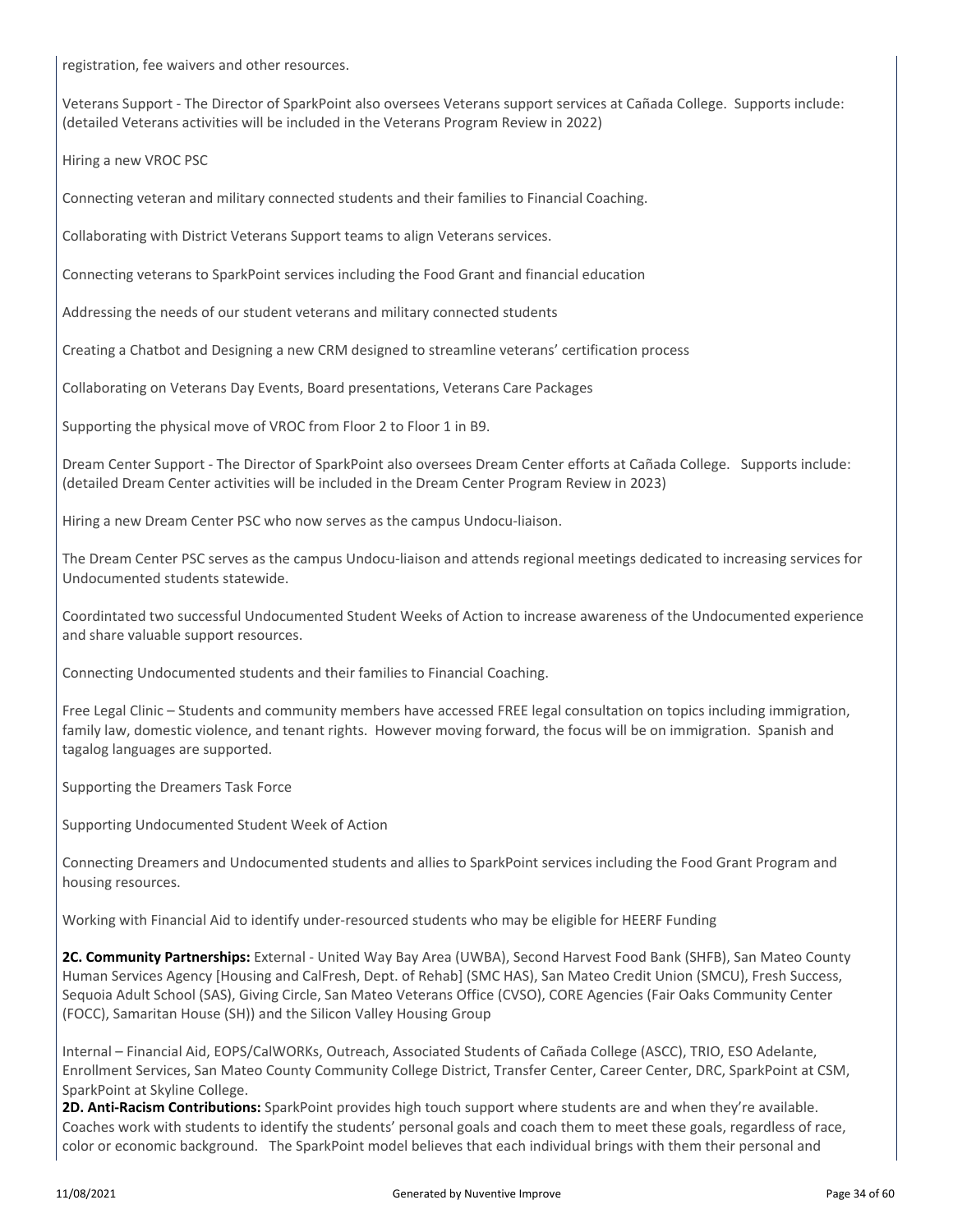registration, fee waivers and other resources.

Veterans Support - The Director of SparkPoint also oversees Veterans support services at Cañada College. Supports include: (detailed Veterans activities will be included in the Veterans Program Review in 2022)

Hiring a new VROC PSC

Connecting veteran and military connected students and their families to Financial Coaching.

Collaborating with District Veterans Support teams to align Veterans services.

Connecting veterans to SparkPoint services including the Food Grant and financial education

Addressing the needs of our student veterans and military connected students

Creating a Chatbot and Designing a new CRM designed to streamline veterans' certification process

Collaborating on Veterans Day Events, Board presentations, Veterans Care Packages

Supporting the physical move of VROC from Floor 2 to Floor 1 in B9.

Dream Center Support - The Director of SparkPoint also oversees Dream Center efforts at Cañada College. Supports include: (detailed Dream Center activities will be included in the Dream Center Program Review in 2023)

Hiring a new Dream Center PSC who now serves as the campus Undocu-liaison.

The Dream Center PSC serves as the campus Undocu-liaison and attends regional meetings dedicated to increasing services for Undocumented students statewide.

Coordintated two successful Undocumented Student Weeks of Action to increase awareness of the Undocumented experience and share valuable support resources.

Connecting Undocumented students and their families to Financial Coaching.

Free Legal Clinic – Students and community members have accessed FREE legal consultation on topics including immigration, family law, domestic violence, and tenant rights. However moving forward, the focus will be on immigration. Spanish and tagalog languages are supported.

Supporting the Dreamers Task Force

Supporting Undocumented Student Week of Action

Connecting Dreamers and Undocumented students and allies to SparkPoint services including the Food Grant Program and housing resources.

Working with Financial Aid to identify under-resourced students who may be eligible for HEERF Funding

**2C. Community Partnerships:** External - United Way Bay Area (UWBA), Second Harvest Food Bank (SHFB), San Mateo County Human Services Agency [Housing and CalFresh, Dept. of Rehab] (SMC HAS), San Mateo Credit Union (SMCU), Fresh Success, Sequoia Adult School (SAS), Giving Circle, San Mateo Veterans Office (CVSO), CORE Agencies (Fair Oaks Community Center (FOCC), Samaritan House (SH)) and the Silicon Valley Housing Group

Internal – Financial Aid, EOPS/CalWORKs, Outreach, Associated Students of Cañada College (ASCC), TRIO, ESO Adelante, Enrollment Services, San Mateo County Community College District, Transfer Center, Career Center, DRC, SparkPoint at CSM, SparkPoint at Skyline College.

**2D. Anti-Racism Contributions:** SparkPoint provides high touch support where students are and when they're available. Coaches work with students to identify the students' personal goals and coach them to meet these goals, regardless of race, color or economic background. The SparkPoint model believes that each individual brings with them their personal and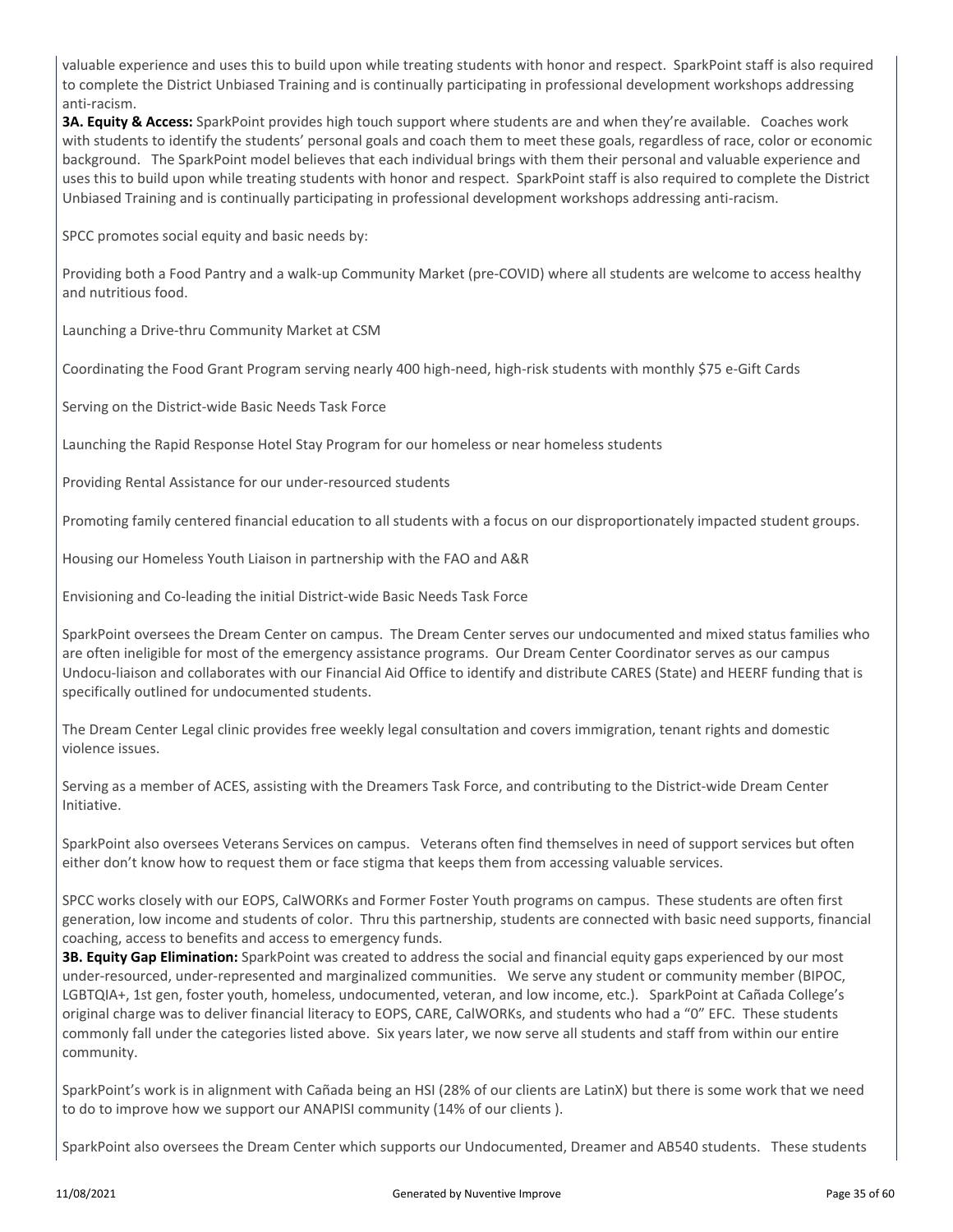valuable experience and uses this to build upon while treating students with honor and respect. SparkPoint staff is also required to complete the District Unbiased Training and is continually participating in professional development workshops addressing anti-racism.

**3A. Equity & Access:** SparkPoint provides high touch support where students are and when they're available. Coaches work with students to identify the students' personal goals and coach them to meet these goals, regardless of race, color or economic background. The SparkPoint model believes that each individual brings with them their personal and valuable experience and uses this to build upon while treating students with honor and respect. SparkPoint staff is also required to complete the District Unbiased Training and is continually participating in professional development workshops addressing anti-racism.

SPCC promotes social equity and basic needs by:

Providing both a Food Pantry and a walk-up Community Market (pre-COVID) where all students are welcome to access healthy and nutritious food.

Launching a Drive-thru Community Market at CSM

Coordinating the Food Grant Program serving nearly 400 high-need, high-risk students with monthly \$75 e-Gift Cards

Serving on the District-wide Basic Needs Task Force

Launching the Rapid Response Hotel Stay Program for our homeless or near homeless students

Providing Rental Assistance for our under-resourced students

Promoting family centered financial education to all students with a focus on our disproportionately impacted student groups.

Housing our Homeless Youth Liaison in partnership with the FAO and A&R

Envisioning and Co-leading the initial District-wide Basic Needs Task Force

SparkPoint oversees the Dream Center on campus. The Dream Center serves our undocumented and mixed status families who are often ineligible for most of the emergency assistance programs. Our Dream Center Coordinator serves as our campus Undocu-liaison and collaborates with our Financial Aid Office to identify and distribute CARES (State) and HEERF funding that is specifically outlined for undocumented students.

The Dream Center Legal clinic provides free weekly legal consultation and covers immigration, tenant rights and domestic violence issues.

Serving as a member of ACES, assisting with the Dreamers Task Force, and contributing to the District-wide Dream Center Initiative.

SparkPoint also oversees Veterans Services on campus. Veterans often find themselves in need of support services but often either don't know how to request them or face stigma that keeps them from accessing valuable services.

SPCC works closely with our EOPS, CalWORKs and Former Foster Youth programs on campus. These students are often first generation, low income and students of color. Thru this partnership, students are connected with basic need supports, financial coaching, access to benefits and access to emergency funds.

**3B. Equity Gap Elimination:** SparkPoint was created to address the social and financial equity gaps experienced by our most under-resourced, under-represented and marginalized communities. We serve any student or community member (BIPOC, LGBTQIA+, 1st gen, foster youth, homeless, undocumented, veteran, and low income, etc.). SparkPoint at Cañada College's original charge was to deliver financial literacy to EOPS, CARE, CalWORKs, and students who had a "0" EFC. These students commonly fall under the categories listed above. Six years later, we now serve all students and staff from within our entire community.

SparkPoint's work is in alignment with Cañada being an HSI (28% of our clients are LatinX) but there is some work that we need to do to improve how we support our ANAPISI community (14% of our clients ).

SparkPoint also oversees the Dream Center which supports our Undocumented, Dreamer and AB540 students. These students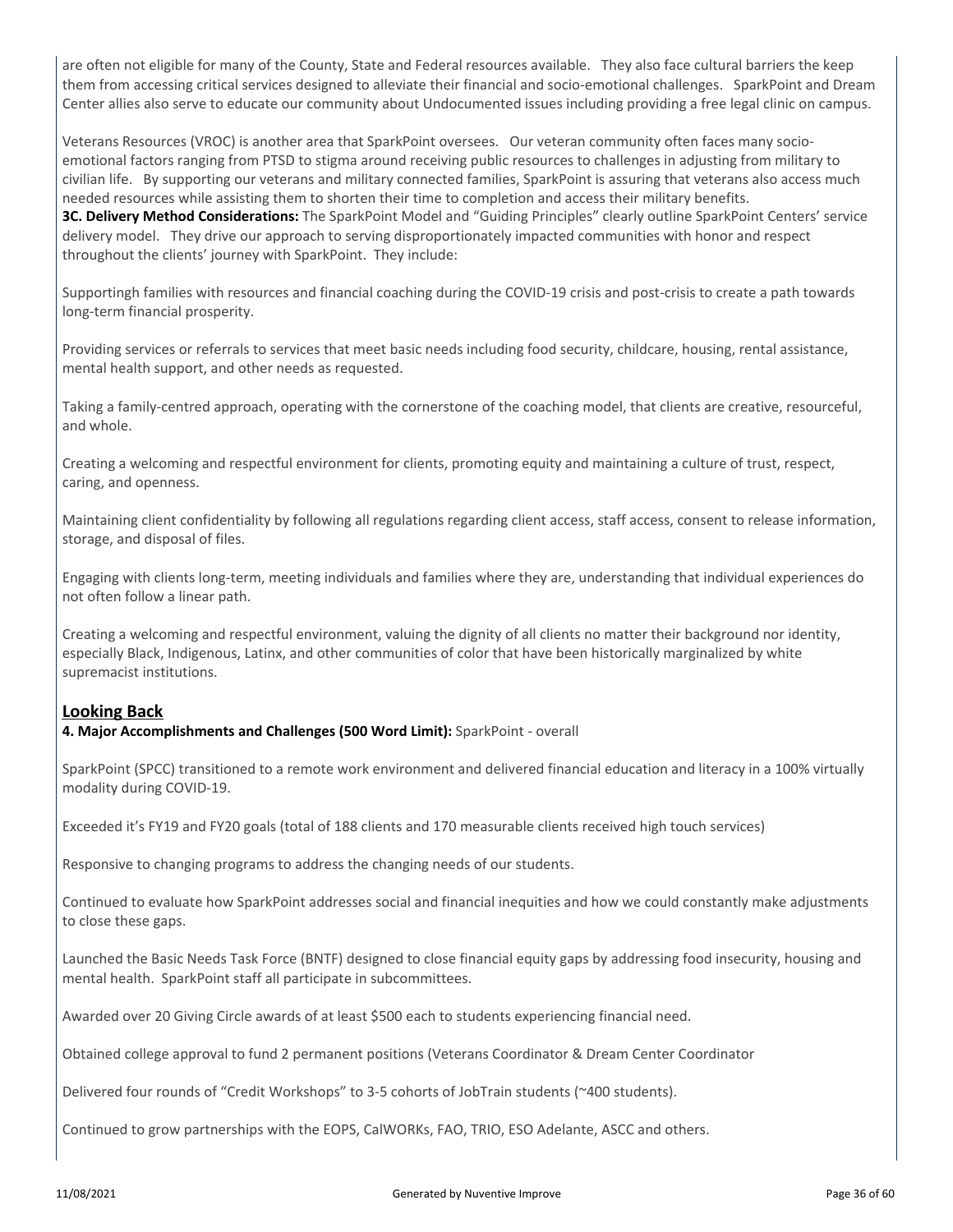are often not eligible for many of the County, State and Federal resources available. They also face cultural barriers the keep them from accessing critical services designed to alleviate their financial and socio-emotional challenges. SparkPoint and Dream Center allies also serve to educate our community about Undocumented issues including providing a free legal clinic on campus.

Veterans Resources (VROC) is another area that SparkPoint oversees. Our veteran community often faces many socioemotional factors ranging from PTSD to stigma around receiving public resources to challenges in adjusting from military to civilian life. By supporting our veterans and military connected families, SparkPoint is assuring that veterans also access much needed resources while assisting them to shorten their time to completion and access their military benefits.

**3C. Delivery Method Considerations:** The SparkPoint Model and "Guiding Principles" clearly outline SparkPoint Centers' service delivery model. They drive our approach to serving disproportionately impacted communities with honor and respect throughout the clients' journey with SparkPoint. They include:

Supportingh families with resources and financial coaching during the COVID-19 crisis and post-crisis to create a path towards long-term financial prosperity.

Providing services or referrals to services that meet basic needs including food security, childcare, housing, rental assistance, mental health support, and other needs as requested.

Taking a family-centred approach, operating with the cornerstone of the coaching model, that clients are creative, resourceful, and whole.

Creating a welcoming and respectful environment for clients, promoting equity and maintaining a culture of trust, respect, caring, and openness.

Maintaining client confidentiality by following all regulations regarding client access, staff access, consent to release information, storage, and disposal of files.

Engaging with clients long-term, meeting individuals and families where they are, understanding that individual experiences do not often follow a linear path.

Creating a welcoming and respectful environment, valuing the dignity of all clients no matter their background nor identity, especially Black, Indigenous, Latinx, and other communities of color that have been historically marginalized by white supremacist institutions.

### **Looking Back**

**4. Major Accomplishments and Challenges (500 Word Limit):** SparkPoint - overall

SparkPoint (SPCC) transitioned to a remote work environment and delivered financial education and literacy in a 100% virtually modality during COVID-19.

Exceeded it's FY19 and FY20 goals (total of 188 clients and 170 measurable clients received high touch services)

Responsive to changing programs to address the changing needs of our students.

Continued to evaluate how SparkPoint addresses social and financial inequities and how we could constantly make adjustments to close these gaps.

Launched the Basic Needs Task Force (BNTF) designed to close financial equity gaps by addressing food insecurity, housing and mental health. SparkPoint staff all participate in subcommittees.

Awarded over 20 Giving Circle awards of at least \$500 each to students experiencing financial need.

Obtained college approval to fund 2 permanent positions (Veterans Coordinator & Dream Center Coordinator

Delivered four rounds of "Credit Workshops" to 3-5 cohorts of JobTrain students (~400 students).

Continued to grow partnerships with the EOPS, CalWORKs, FAO, TRIO, ESO Adelante, ASCC and others.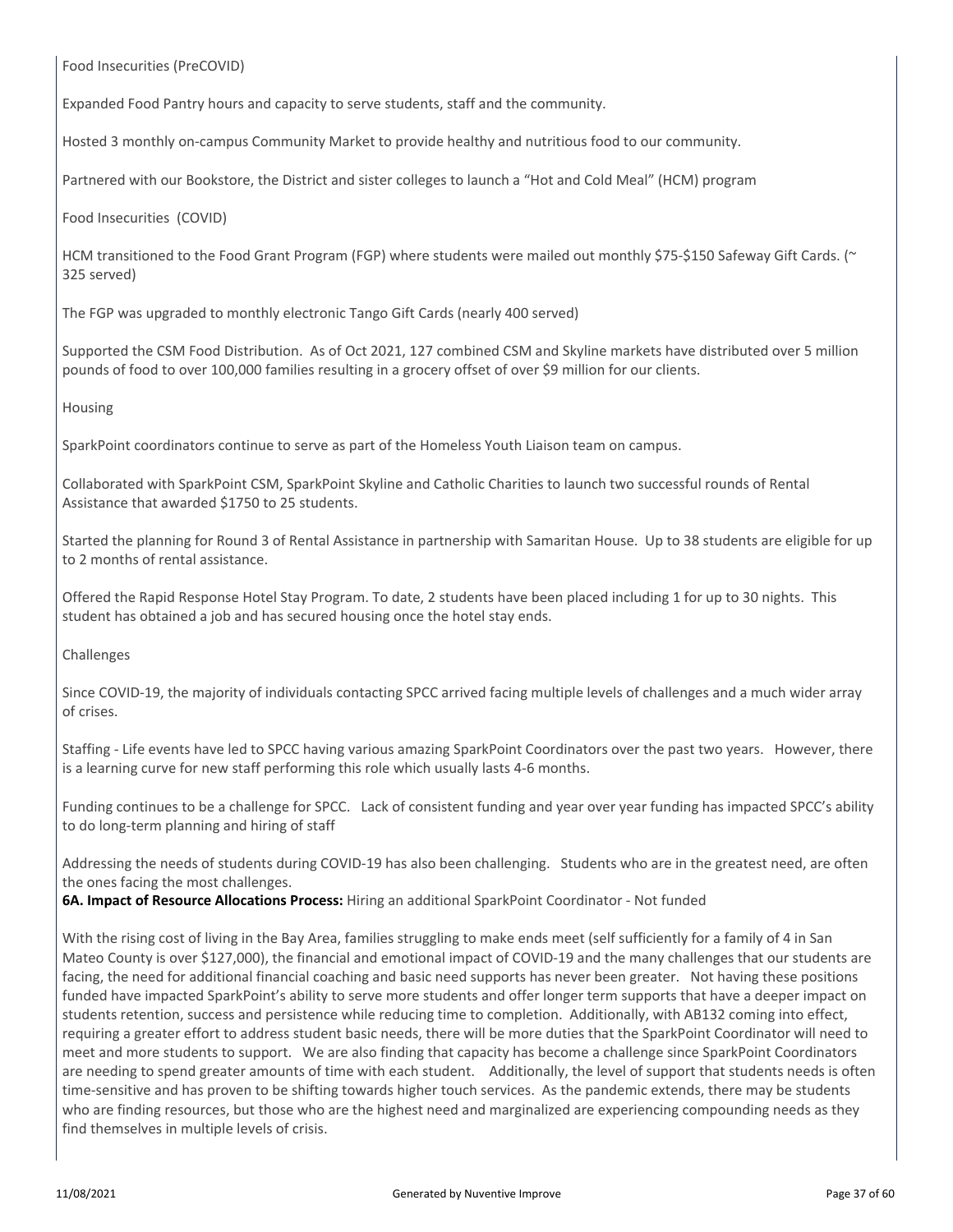Food Insecurities (PreCOVID)

Expanded Food Pantry hours and capacity to serve students, staff and the community.

Hosted 3 monthly on-campus Community Market to provide healthy and nutritious food to our community.

Partnered with our Bookstore, the District and sister colleges to launch a "Hot and Cold Meal" (HCM) program

Food Insecurities (COVID)

HCM transitioned to the Food Grant Program (FGP) where students were mailed out monthly \$75-\$150 Safeway Gift Cards. (~ 325 served)

The FGP was upgraded to monthly electronic Tango Gift Cards (nearly 400 served)

Supported the CSM Food Distribution. As of Oct 2021, 127 combined CSM and Skyline markets have distributed over 5 million pounds of food to over 100,000 families resulting in a grocery offset of over \$9 million for our clients.

Housing

SparkPoint coordinators continue to serve as part of the Homeless Youth Liaison team on campus.

Collaborated with SparkPoint CSM, SparkPoint Skyline and Catholic Charities to launch two successful rounds of Rental Assistance that awarded \$1750 to 25 students.

Started the planning for Round 3 of Rental Assistance in partnership with Samaritan House. Up to 38 students are eligible for up to 2 months of rental assistance.

Offered the Rapid Response Hotel Stay Program. To date, 2 students have been placed including 1 for up to 30 nights. This student has obtained a job and has secured housing once the hotel stay ends.

Challenges

Since COVID-19, the majority of individuals contacting SPCC arrived facing multiple levels of challenges and a much wider array of crises.

Staffing - Life events have led to SPCC having various amazing SparkPoint Coordinators over the past two years. However, there is a learning curve for new staff performing this role which usually lasts 4-6 months.

Funding continues to be a challenge for SPCC. Lack of consistent funding and year over year funding has impacted SPCC's ability to do long-term planning and hiring of staff

Addressing the needs of students during COVID-19 has also been challenging. Students who are in the greatest need, are often the ones facing the most challenges.

**6A. Impact of Resource Allocations Process:** Hiring an additional SparkPoint Coordinator - Not funded

With the rising cost of living in the Bay Area, families struggling to make ends meet (self sufficiently for a family of 4 in San Mateo County is over \$127,000), the financial and emotional impact of COVID-19 and the many challenges that our students are facing, the need for additional financial coaching and basic need supports has never been greater. Not having these positions funded have impacted SparkPoint's ability to serve more students and offer longer term supports that have a deeper impact on students retention, success and persistence while reducing time to completion. Additionally, with AB132 coming into effect, requiring a greater effort to address student basic needs, there will be more duties that the SparkPoint Coordinator will need to meet and more students to support. We are also finding that capacity has become a challenge since SparkPoint Coordinators are needing to spend greater amounts of time with each student. Additionally, the level of support that students needs is often time-sensitive and has proven to be shifting towards higher touch services. As the pandemic extends, there may be students who are finding resources, but those who are the highest need and marginalized are experiencing compounding needs as they find themselves in multiple levels of crisis.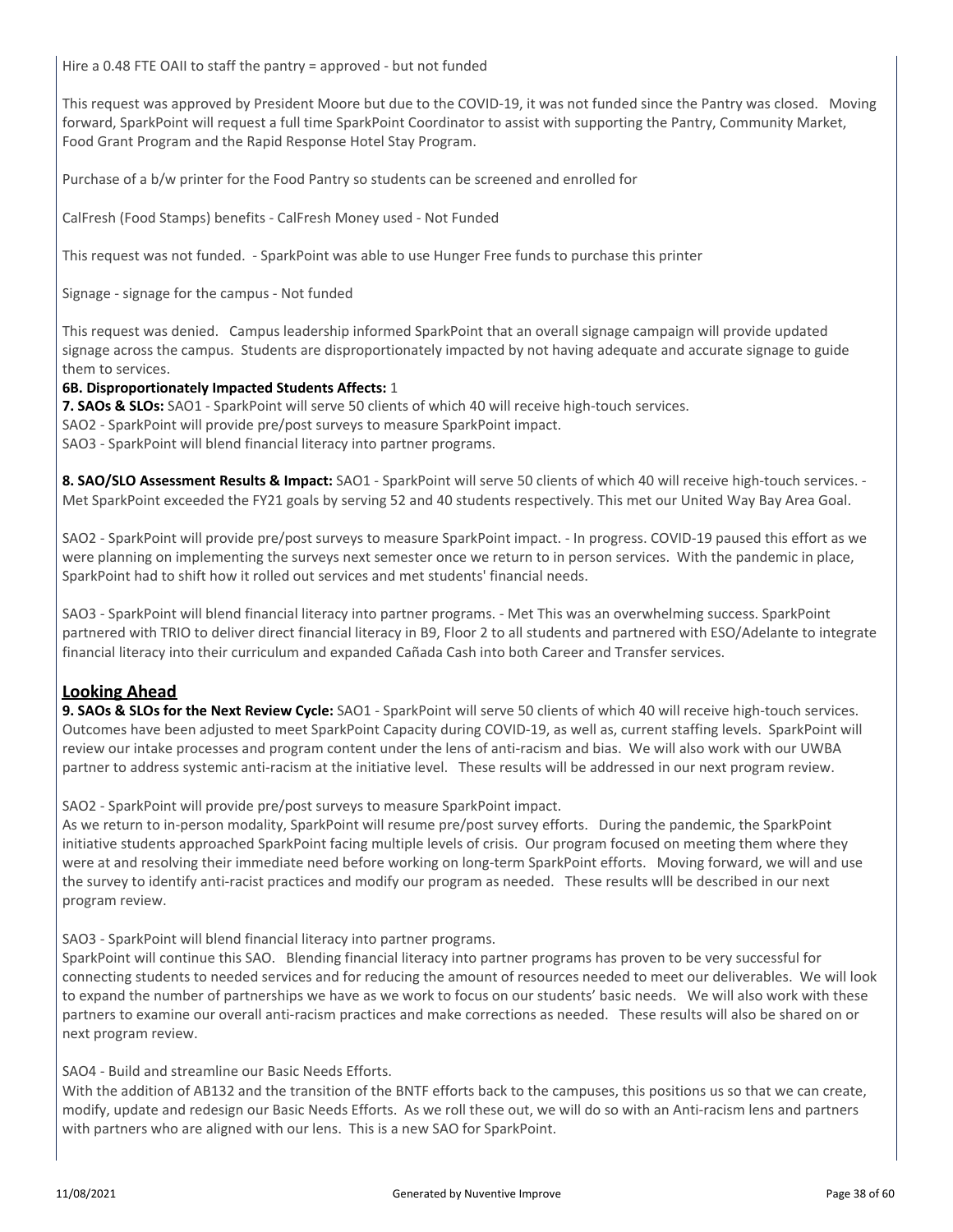Hire a 0.48 FTE OAII to staff the pantry = approved - but not funded

This request was approved by President Moore but due to the COVID-19, it was not funded since the Pantry was closed. Moving forward, SparkPoint will request a full time SparkPoint Coordinator to assist with supporting the Pantry, Community Market, Food Grant Program and the Rapid Response Hotel Stay Program.

Purchase of a b/w printer for the Food Pantry so students can be screened and enrolled for

CalFresh (Food Stamps) benefits - CalFresh Money used - Not Funded

This request was not funded. - SparkPoint was able to use Hunger Free funds to purchase this printer

Signage - signage for the campus - Not funded

This request was denied. Campus leadership informed SparkPoint that an overall signage campaign will provide updated signage across the campus. Students are disproportionately impacted by not having adequate and accurate signage to guide them to services.

#### **6B. Disproportionately Impacted Students Affects:** 1

**7. SAOs & SLOs:** SAO1 - SparkPoint will serve 50 clients of which 40 will receive high-touch services.

SAO2 - SparkPoint will provide pre/post surveys to measure SparkPoint impact.

SAO3 - SparkPoint will blend financial literacy into partner programs.

**8. SAO/SLO Assessment Results & Impact:** SAO1 - SparkPoint will serve 50 clients of which 40 will receive high-touch services. - Met SparkPoint exceeded the FY21 goals by serving 52 and 40 students respectively. This met our United Way Bay Area Goal.

SAO2 - SparkPoint will provide pre/post surveys to measure SparkPoint impact. - In progress. COVID-19 paused this effort as we were planning on implementing the surveys next semester once we return to in person services. With the pandemic in place, SparkPoint had to shift how it rolled out services and met students' financial needs.

SAO3 - SparkPoint will blend financial literacy into partner programs. - Met This was an overwhelming success. SparkPoint partnered with TRIO to deliver direct financial literacy in B9, Floor 2 to all students and partnered with ESO/Adelante to integrate financial literacy into their curriculum and expanded Cañada Cash into both Career and Transfer services.

### **Looking Ahead**

**9. SAOs & SLOs for the Next Review Cycle:** SAO1 - SparkPoint will serve 50 clients of which 40 will receive high-touch services. Outcomes have been adjusted to meet SparkPoint Capacity during COVID-19, as well as, current staffing levels. SparkPoint will review our intake processes and program content under the lens of anti-racism and bias. We will also work with our UWBA partner to address systemic anti-racism at the initiative level. These results will be addressed in our next program review.

SAO2 - SparkPoint will provide pre/post surveys to measure SparkPoint impact.

As we return to in-person modality, SparkPoint will resume pre/post survey efforts. During the pandemic, the SparkPoint initiative students approached SparkPoint facing multiple levels of crisis. Our program focused on meeting them where they were at and resolving their immediate need before working on long-term SparkPoint efforts. Moving forward, we will and use the survey to identify anti-racist practices and modify our program as needed. These results wlll be described in our next program review.

SAO3 - SparkPoint will blend financial literacy into partner programs.

SparkPoint will continue this SAO. Blending financial literacy into partner programs has proven to be very successful for connecting students to needed services and for reducing the amount of resources needed to meet our deliverables. We will look to expand the number of partnerships we have as we work to focus on our students' basic needs. We will also work with these partners to examine our overall anti-racism practices and make corrections as needed. These results will also be shared on or next program review.

#### SAO4 - Build and streamline our Basic Needs Efforts.

With the addition of AB132 and the transition of the BNTF efforts back to the campuses, this positions us so that we can create, modify, update and redesign our Basic Needs Efforts. As we roll these out, we will do so with an Anti-racism lens and partners with partners who are aligned with our lens. This is a new SAO for SparkPoint.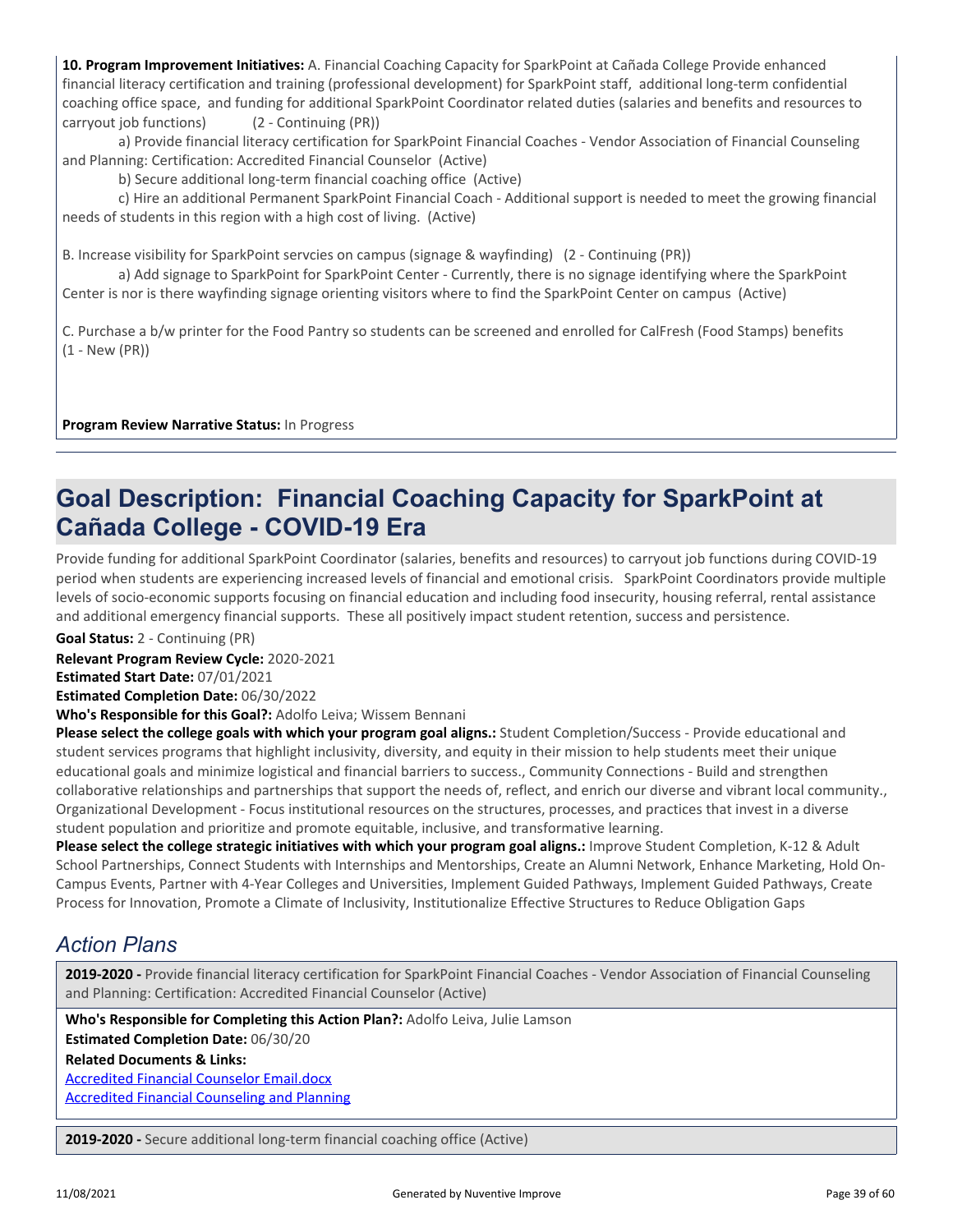**10. Program Improvement Initiatives:** A. Financial Coaching Capacity for SparkPoint at Cañada College Provide enhanced financial literacy certification and training (professional development) for SparkPoint staff, additional long-term confidential coaching office space, and funding for additional SparkPoint Coordinator related duties (salaries and benefits and resources to carryout job functions) (2 - Continuing (PR))

 a) Provide financial literacy certification for SparkPoint Financial Coaches - Vendor Association of Financial Counseling and Planning: Certification: Accredited Financial Counselor (Active)

b) Secure additional long-term financial coaching office (Active)

 c) Hire an additional Permanent SparkPoint Financial Coach - Additional support is needed to meet the growing financial needs of students in this region with a high cost of living. (Active)

B. Increase visibility for SparkPoint servcies on campus (signage & wayfinding) (2 - Continuing (PR))

 a) Add signage to SparkPoint for SparkPoint Center - Currently, there is no signage identifying where the SparkPoint Center is nor is there wayfinding signage orienting visitors where to find the SparkPoint Center on campus (Active)

C. Purchase a b/w printer for the Food Pantry so students can be screened and enrolled for CalFresh (Food Stamps) benefits (1 - New (PR))

**Program Review Narrative Status:** In Progress

# **Goal Description: Financial Coaching Capacity for SparkPoint at Cañada College - COVID-19 Era**

Provide funding for additional SparkPoint Coordinator (salaries, benefits and resources) to carryout job functions during COVID-19 period when students are experiencing increased levels of financial and emotional crisis. SparkPoint Coordinators provide multiple levels of socio-economic supports focusing on financial education and including food insecurity, housing referral, rental assistance and additional emergency financial supports. These all positively impact student retention, success and persistence.

**Goal Status:** 2 - Continuing (PR)

**Relevant Program Review Cycle:** 2020-2021

**Estimated Start Date:** 07/01/2021

**Estimated Completion Date:** 06/30/2022

**Who's Responsible for this Goal?:** Adolfo Leiva; Wissem Bennani

**Please select the college goals with which your program goal aligns.:** Student Completion/Success - Provide educational and student services programs that highlight inclusivity, diversity, and equity in their mission to help students meet their unique educational goals and minimize logistical and financial barriers to success., Community Connections - Build and strengthen collaborative relationships and partnerships that support the needs of, reflect, and enrich our diverse and vibrant local community., Organizational Development - Focus institutional resources on the structures, processes, and practices that invest in a diverse student population and prioritize and promote equitable, inclusive, and transformative learning.

**Please select the college strategic initiatives with which your program goal aligns.:** Improve Student Completion, K-12 & Adult School Partnerships, Connect Students with Internships and Mentorships, Create an Alumni Network, Enhance Marketing, Hold On-Campus Events, Partner with 4-Year Colleges and Universities, Implement Guided Pathways, Implement Guided Pathways, Create Process for Innovation, Promote a Climate of Inclusivity, Institutionalize Effective Structures to Reduce Obligation Gaps

## *Action Plans*

**2019-2020 -** Provide financial literacy certification for SparkPoint Financial Coaches - Vendor Association of Financial Counseling and Planning: Certification: Accredited Financial Counselor (Active)

**Who's Responsible for Completing this Action Plan?:** Adolfo Leiva, Julie Lamson **Estimated Completion Date:** 06/30/20

**Related Documents & Links:**

[Accredited Financial Counselor Email.docx](https://sanmateo.improve.nuventive.com:443/tracdat/viewDocument?y=eOJadZbTJS9w) [Accredited Financial Counseling and Planning](https://sanmateo.improve.nuventive.com:443/tracdat/viewDocument?y=YlRawhiZYdas)

**2019-2020 -** Secure additional long-term financial coaching office (Active)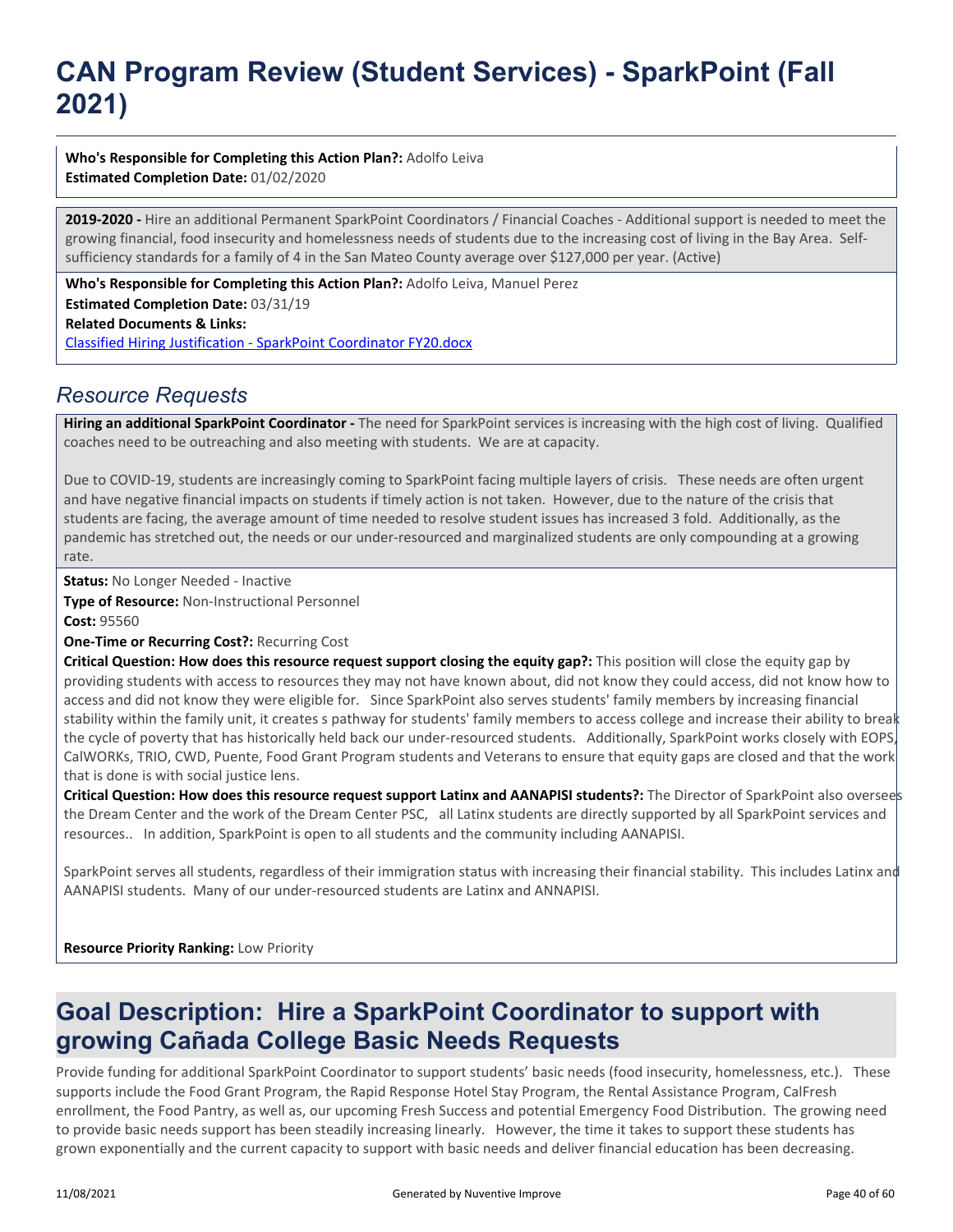# **CAN Program Review (Student Services) - SparkPoint (Fall 2021)**

### **Who's Responsible for Completing this Action Plan?:** Adolfo Leiva

**Estimated Completion Date:** 01/02/2020

**2019-2020 -** Hire an additional Permanent SparkPoint Coordinators / Financial Coaches - Additional support is needed to meet the growing financial, food insecurity and homelessness needs of students due to the increasing cost of living in the Bay Area. Selfsufficiency standards for a family of 4 in the San Mateo County average over \$127,000 per year. (Active)

**Related Documents & Links:** [Classified Hiring Justification - SparkPoint Coordinator FY20.docx](https://sanmateo.improve.nuventive.com:443/tracdat/viewDocument?y=l1gsY77vl2Tz) **Who's Responsible for Completing this Action Plan?:** Adolfo Leiva, Manuel Perez **Estimated Completion Date:** 03/31/19

## *Resource Requests*

**Hiring an additional SparkPoint Coordinator -** The need for SparkPoint services is increasing with the high cost of living. Qualified coaches need to be outreaching and also meeting with students. We are at capacity.

Due to COVID-19, students are increasingly coming to SparkPoint facing multiple layers of crisis. These needs are often urgent and have negative financial impacts on students if timely action is not taken. However, due to the nature of the crisis that students are facing, the average amount of time needed to resolve student issues has increased 3 fold. Additionally, as the pandemic has stretched out, the needs or our under-resourced and marginalized students are only compounding at a growing rate.

**Status:** No Longer Needed - Inactive

**Type of Resource:** Non-Instructional Personnel

**Cost:** 95560

**One-Time or Recurring Cost?:** Recurring Cost

**Critical Question: How does this resource request support closing the equity gap?:** This position will close the equity gap by providing students with access to resources they may not have known about, did not know they could access, did not know how to access and did not know they were eligible for. Since SparkPoint also serves students' family members by increasing financial stability within the family unit, it creates s pathway for students' family members to access college and increase their ability to break the cycle of poverty that has historically held back our under-resourced students. Additionally, SparkPoint works closely with EOPS, CalWORKs, TRIO, CWD, Puente, Food Grant Program students and Veterans to ensure that equity gaps are closed and that the work that is done is with social justice lens.

**Critical Question: How does this resource request support Latinx and AANAPISI students?:** The Director of SparkPoint also oversees the Dream Center and the work of the Dream Center PSC, all Latinx students are directly supported by all SparkPoint services and resources.. In addition, SparkPoint is open to all students and the community including AANAPISI.

SparkPoint serves all students, regardless of their immigration status with increasing their financial stability. This includes Latinx and AANAPISI students. Many of our under-resourced students are Latinx and ANNAPISI.

**Resource Priority Ranking:** Low Priority

## **Goal Description: Hire a SparkPoint Coordinator to support with growing Cañada College Basic Needs Requests**

Provide funding for additional SparkPoint Coordinator to support students' basic needs (food insecurity, homelessness, etc.). These supports include the Food Grant Program, the Rapid Response Hotel Stay Program, the Rental Assistance Program, CalFresh enrollment, the Food Pantry, as well as, our upcoming Fresh Success and potential Emergency Food Distribution. The growing need to provide basic needs support has been steadily increasing linearly. However, the time it takes to support these students has grown exponentially and the current capacity to support with basic needs and deliver financial education has been decreasing.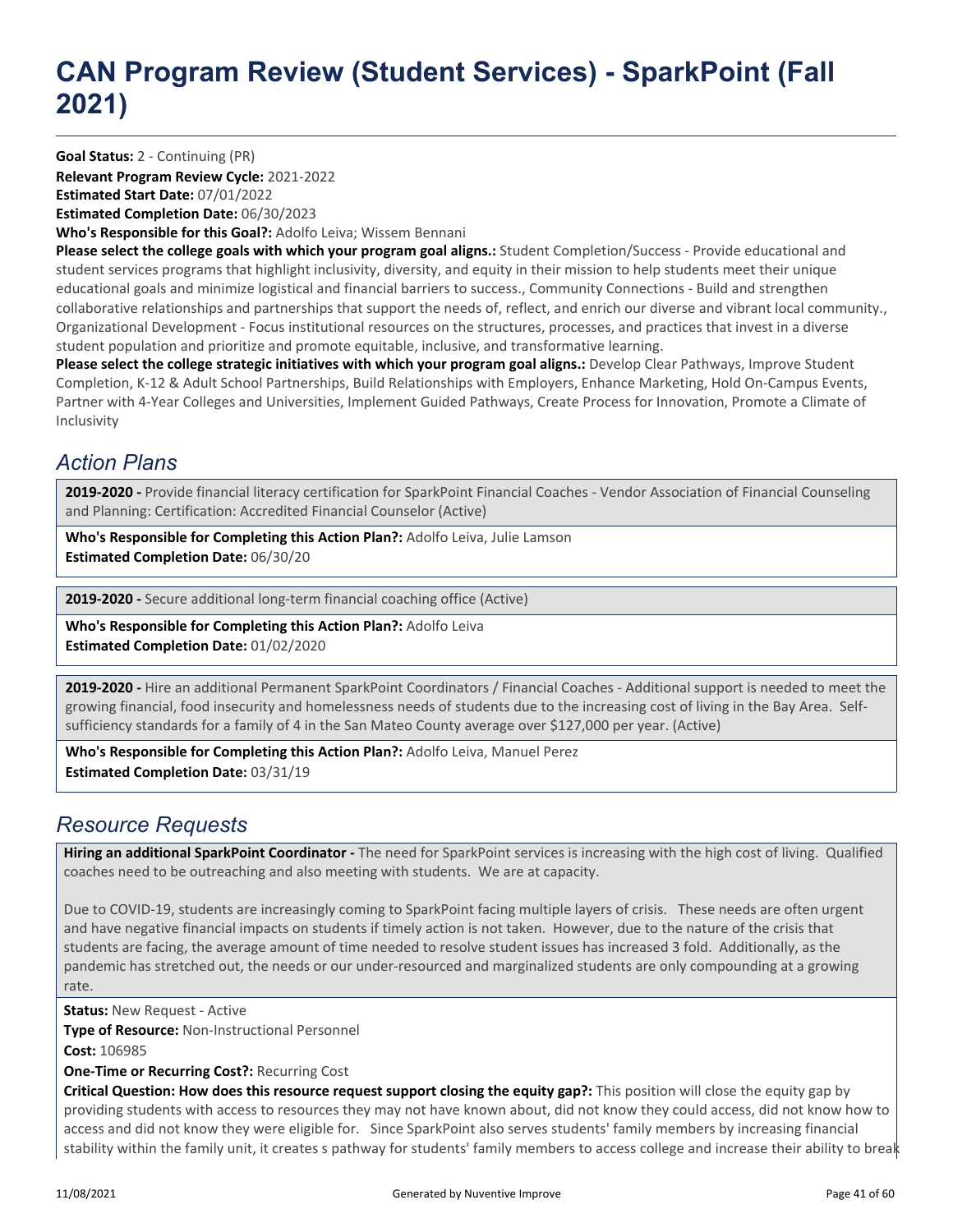# **CAN Program Review (Student Services) - SparkPoint (Fall 2021)**

**Goal Status:** 2 - Continuing (PR)

**Relevant Program Review Cycle:** 2021-2022 **Estimated Start Date:** 07/01/2022

**Estimated Completion Date:** 06/30/2023

**Who's Responsible for this Goal?:** Adolfo Leiva; Wissem Bennani

**Please select the college goals with which your program goal aligns.:** Student Completion/Success - Provide educational and student services programs that highlight inclusivity, diversity, and equity in their mission to help students meet their unique educational goals and minimize logistical and financial barriers to success., Community Connections - Build and strengthen collaborative relationships and partnerships that support the needs of, reflect, and enrich our diverse and vibrant local community., Organizational Development - Focus institutional resources on the structures, processes, and practices that invest in a diverse student population and prioritize and promote equitable, inclusive, and transformative learning.

Please select the college strategic initiatives with which your program goal aligns.: Develop Clear Pathways, Improve Student Completion, K-12 & Adult School Partnerships, Build Relationships with Employers, Enhance Marketing, Hold On-Campus Events, Partner with 4-Year Colleges and Universities, Implement Guided Pathways, Create Process for Innovation, Promote a Climate of Inclusivity

## *Action Plans*

**2019-2020 -** Provide financial literacy certification for SparkPoint Financial Coaches - Vendor Association of Financial Counseling and Planning: Certification: Accredited Financial Counselor (Active)

**Who's Responsible for Completing this Action Plan?:** Adolfo Leiva, Julie Lamson **Estimated Completion Date:** 06/30/20

**2019-2020 -** Secure additional long-term financial coaching office (Active)

**Who's Responsible for Completing this Action Plan?:** Adolfo Leiva **Estimated Completion Date:** 01/02/2020

**2019-2020 -** Hire an additional Permanent SparkPoint Coordinators / Financial Coaches - Additional support is needed to meet the growing financial, food insecurity and homelessness needs of students due to the increasing cost of living in the Bay Area. Selfsufficiency standards for a family of 4 in the San Mateo County average over \$127,000 per year. (Active)

**Who's Responsible for Completing this Action Plan?:** Adolfo Leiva, Manuel Perez **Estimated Completion Date:** 03/31/19

### *Resource Requests*

**Hiring an additional SparkPoint Coordinator -** The need for SparkPoint services is increasing with the high cost of living. Qualified coaches need to be outreaching and also meeting with students. We are at capacity.

Due to COVID-19, students are increasingly coming to SparkPoint facing multiple layers of crisis. These needs are often urgent and have negative financial impacts on students if timely action is not taken. However, due to the nature of the crisis that students are facing, the average amount of time needed to resolve student issues has increased 3 fold. Additionally, as the pandemic has stretched out, the needs or our under-resourced and marginalized students are only compounding at a growing rate.

**Status: New Request - Active** 

**Type of Resource:** Non-Instructional Personnel

**Cost:** 106985

**One-Time or Recurring Cost?:** Recurring Cost

**Critical Question: How does this resource request support closing the equity gap?:** This position will close the equity gap by providing students with access to resources they may not have known about, did not know they could access, did not know how to access and did not know they were eligible for. Since SparkPoint also serves students' family members by increasing financial stability within the family unit, it creates s pathway for students' family members to access college and increase their ability to break